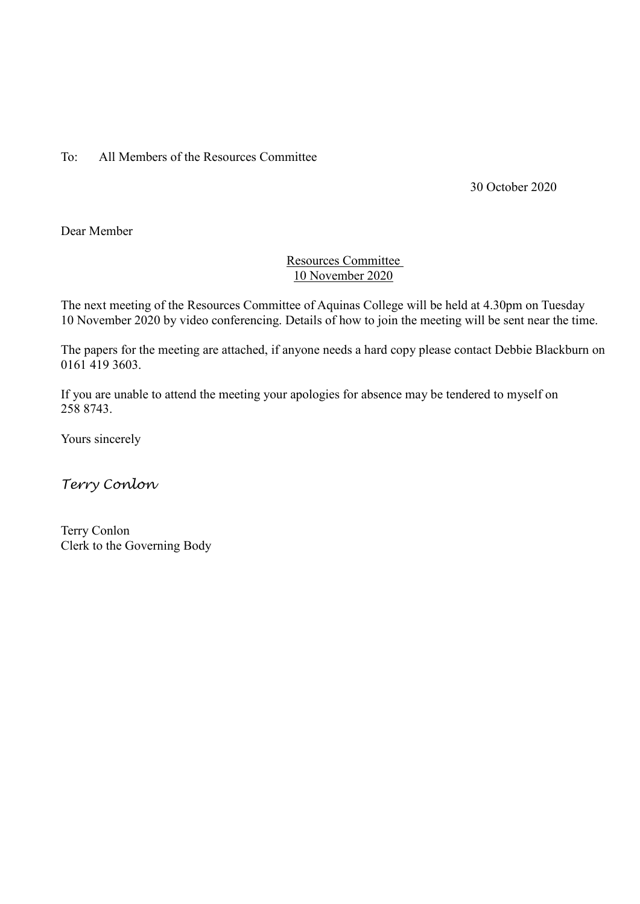To: All Members of the Resources Committee

30 October 2020

Dear Member

# Resources Committee 10 November 2020

The next meeting of the Resources Committee of Aquinas College will be held at 4.30pm on Tuesday 10 November 2020 by video conferencing. Details of how to join the meeting will be sent near the time.

The papers for the meeting are attached, if anyone needs a hard copy please contact Debbie Blackburn on 0161 419 3603.

If you are unable to attend the meeting your apologies for absence may be tendered to myself on 258 8743.

Yours sincerely

*Terry Conlon*

Terry Conlon Clerk to the Governing Body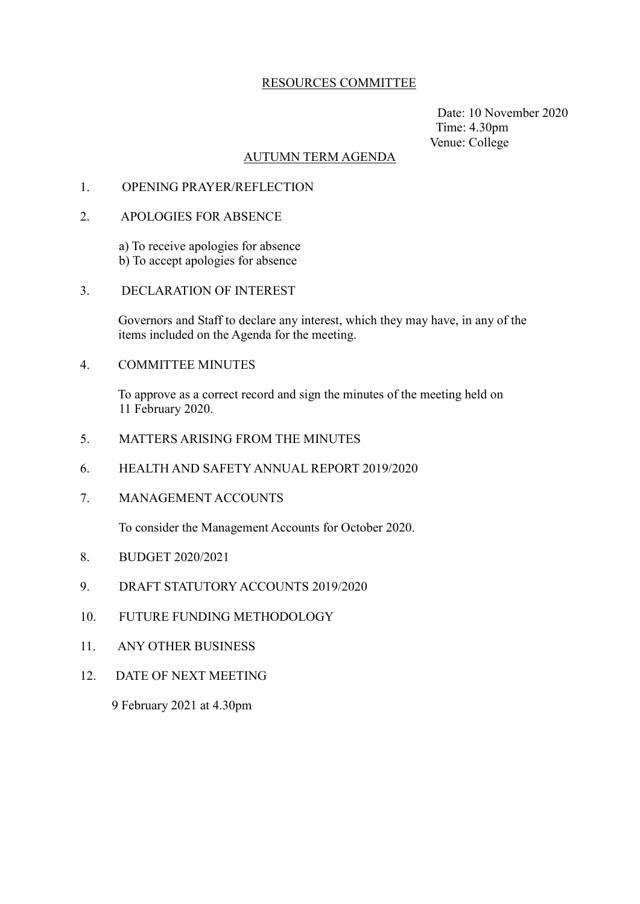### RESOURCES COMMITTEE

 Date: 10 November 2020 Time: 4.30pm Venue: College

#### AUTUMN TERM AGENDA

- 1. OPENING PRAYER/REFLECTION
- 2. APOLOGIES FOR ABSENCE

 a) To receive apologies for absence b) To accept apologies for absence

3. DECLARATION OF INTEREST

 Governors and Staff to declare any interest, which they may have, in any of the items included on the Agenda for the meeting.

4. COMMITTEE MINUTES

 To approve as a correct record and sign the minutes of the meeting held on 11 February 2020.

- 5. MATTERS ARISING FROM THE MINUTES
- 6. HEALTH AND SAFETY ANNUAL REPORT 2019/2020
- 7. MANAGEMENT ACCOUNTS

To consider the Management Accounts for October 2020.

- 8. BUDGET 2020/2021
- 9. DRAFT STATUTORY ACCOUNTS 2019/2020
- 10. FUTURE FUNDING METHODOLOGY
- 11. ANY OTHER BUSINESS
- 12. DATE OF NEXT MEETING

9 February 2021 at 4.30pm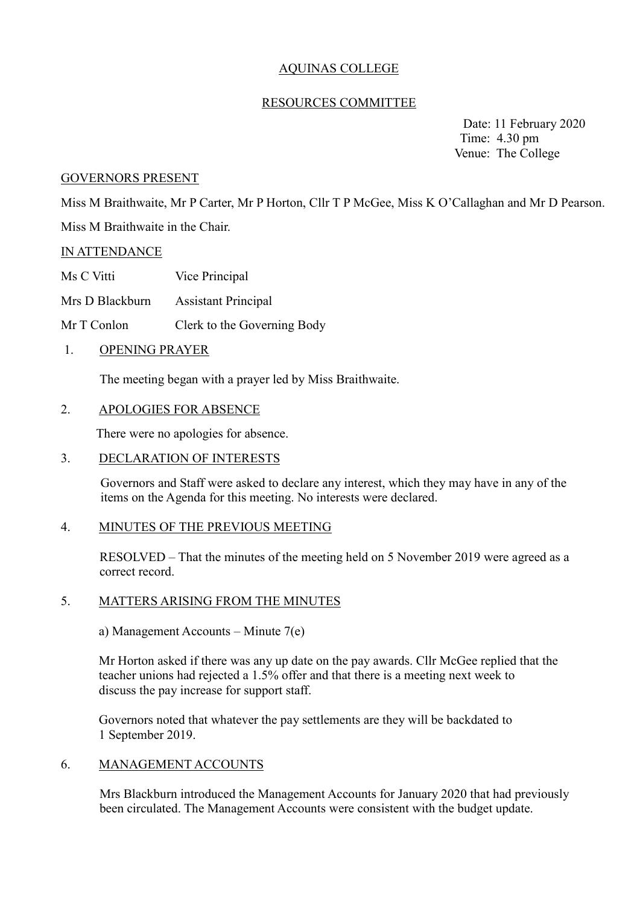# AQUINAS COLLEGE

### RESOURCES COMMITTEE

 Date: 11 February 2020 Time: 4.30 pm Venue: The College

#### GOVERNORS PRESENT

Miss M Braithwaite, Mr P Carter, Mr P Horton, Cllr T P McGee, Miss K O'Callaghan and Mr D Pearson. Miss M Braithwaite in the Chair.

### IN ATTENDANCE

Ms C Vitti Vice Principal

Mrs D Blackburn Assistant Principal

Mr T Conlon Clerk to the Governing Body

1. OPENING PRAYER

The meeting began with a prayer led by Miss Braithwaite.

### 2. APOLOGIES FOR ABSENCE

There were no apologies for absence.

#### 3. DECLARATION OF INTERESTS

Governors and Staff were asked to declare any interest, which they may have in any of the items on the Agenda for this meeting. No interests were declared.

#### 4. MINUTES OF THE PREVIOUS MEETING

RESOLVED – That the minutes of the meeting held on 5 November 2019 were agreed as a correct record.

#### 5. MATTERS ARISING FROM THE MINUTES

a) Management Accounts – Minute 7(e)

Mr Horton asked if there was any up date on the pay awards. Cllr McGee replied that the teacher unions had rejected a 1.5% offer and that there is a meeting next week to discuss the pay increase for support staff.

Governors noted that whatever the pay settlements are they will be backdated to 1 September 2019.

#### 6. MANAGEMENT ACCOUNTS

Mrs Blackburn introduced the Management Accounts for January 2020 that had previously been circulated. The Management Accounts were consistent with the budget update.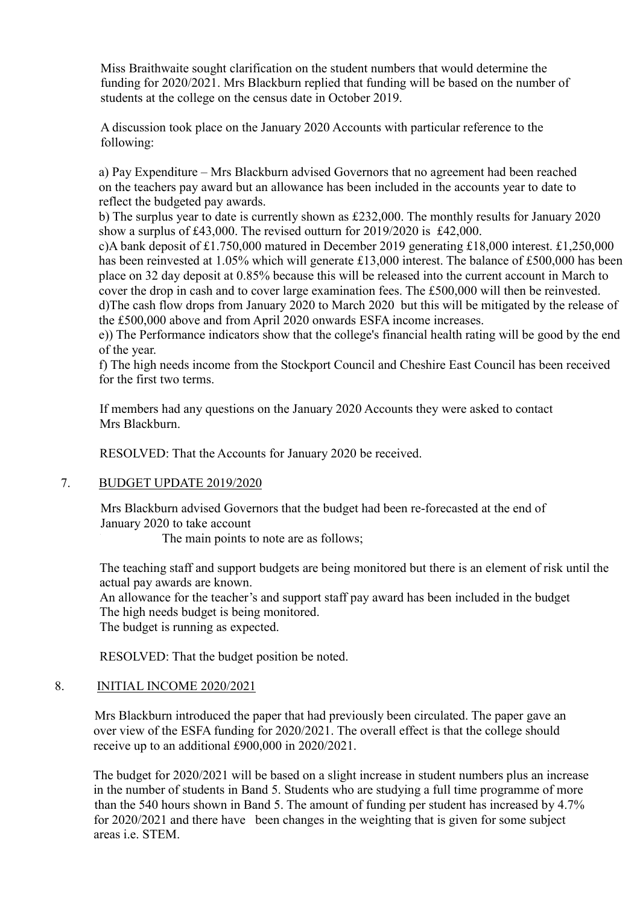Miss Braithwaite sought clarification on the student numbers that would determine the funding for 2020/2021. Mrs Blackburn replied that funding will be based on the number of students at the college on the census date in October 2019.

A discussion took place on the January 2020 Accounts with particular reference to the following:

a) Pay Expenditure – Mrs Blackburn advised Governors that no agreement had been reached on the teachers pay award but an allowance has been included in the accounts year to date to reflect the budgeted pay awards.

b) The surplus year to date is currently shown as £232,000. The monthly results for January 2020 show a surplus of £43,000. The revised outturn for 2019/2020 is £42,000.

c)A bank deposit of £1.750,000 matured in December 2019 generating £18,000 interest. £1,250,000 has been reinvested at 1.05% which will generate £13,000 interest. The balance of £500,000 has been place on 32 day deposit at 0.85% because this will be released into the current account in March to cover the drop in cash and to cover large examination fees. The £500,000 will then be reinvested. d)The cash flow drops from January 2020 to March 2020 but this will be mitigated by the release of the £500,000 above and from April 2020 onwards ESFA income increases.

e)) The Performance indicators show that the college's financial health rating will be good by the end of the year.

f) The high needs income from the Stockport Council and Cheshire East Council has been received for the first two terms.

If members had any questions on the January 2020 Accounts they were asked to contact Mrs Blackburn.

RESOLVED: That the Accounts for January 2020 be received.

## 7. BUDGET UPDATE 2019/2020

Mrs Blackburn advised Governors that the budget had been re-forecasted at the end of January 2020 to take account

The main points to note are as follows;

The teaching staff and support budgets are being monitored but there is an element of risk until the actual pay awards are known.

An allowance for the teacher's and support staff pay award has been included in the budget The high needs budget is being monitored.

The budget is running as expected.

RESOLVED: That the budget position be noted.

## 8. INITIAL INCOME 2020/2021

Mrs Blackburn introduced the paper that had previously been circulated. The paper gave an over view of the ESFA funding for 2020/2021. The overall effect is that the college should receive up to an additional £900,000 in 2020/2021.

The budget for 2020/2021 will be based on a slight increase in student numbers plus an increase in the number of students in Band 5. Students who are studying a full time programme of more than the 540 hours shown in Band 5. The amount of funding per student has increased by 4.7% for 2020/2021 and there have been changes in the weighting that is given for some subject areas i.e. STEM.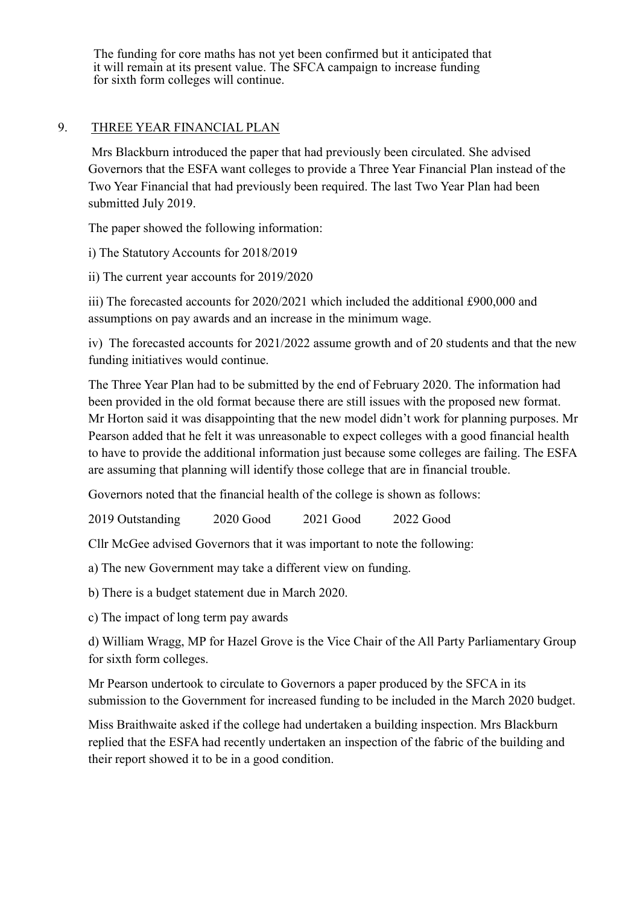The funding for core maths has not yet been confirmed but it anticipated that it will remain at its present value. The SFCA campaign to increase funding for sixth form colleges will continue.

### 9. THREE YEAR FINANCIAL PLAN

Mrs Blackburn introduced the paper that had previously been circulated. She advised Governors that the ESFA want colleges to provide a Three Year Financial Plan instead of the Two Year Financial that had previously been required. The last Two Year Plan had been submitted July 2019.

The paper showed the following information:

i) The Statutory Accounts for 2018/2019

ii) The current year accounts for 2019/2020

iii) The forecasted accounts for 2020/2021 which included the additional £900,000 and assumptions on pay awards and an increase in the minimum wage.

iv) The forecasted accounts for 2021/2022 assume growth and of 20 students and that the new funding initiatives would continue.

The Three Year Plan had to be submitted by the end of February 2020. The information had been provided in the old format because there are still issues with the proposed new format. Mr Horton said it was disappointing that the new model didn't work for planning purposes. Mr Pearson added that he felt it was unreasonable to expect colleges with a good financial health to have to provide the additional information just because some colleges are failing. The ESFA are assuming that planning will identify those college that are in financial trouble.

Governors noted that the financial health of the college is shown as follows:

2019 Outstanding 2020 Good 2021 Good 2022 Good

Cllr McGee advised Governors that it was important to note the following:

a) The new Government may take a different view on funding.

b) There is a budget statement due in March 2020.

c) The impact of long term pay awards

d) William Wragg, MP for Hazel Grove is the Vice Chair of the All Party Parliamentary Group for sixth form colleges.

Mr Pearson undertook to circulate to Governors a paper produced by the SFCA in its submission to the Government for increased funding to be included in the March 2020 budget.

Miss Braithwaite asked if the college had undertaken a building inspection. Mrs Blackburn replied that the ESFA had recently undertaken an inspection of the fabric of the building and their report showed it to be in a good condition.